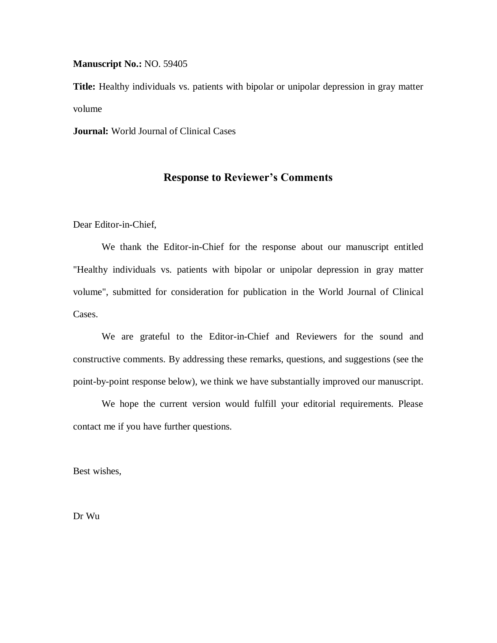**Manuscript No.:** NO. 59405

**Title:** Healthy individuals vs. patients with bipolar or unipolar depression in gray matter volume

**Journal:** World Journal of Clinical Cases

## **Response to Reviewer's Comments**

Dear Editor-in-Chief,

We thank the Editor-in-Chief for the response about our manuscript entitled "Healthy individuals vs. patients with bipolar or unipolar depression in gray matter volume", submitted for consideration for publication in the World Journal of Clinical Cases.

We are grateful to the Editor-in-Chief and Reviewers for the sound and constructive comments. By addressing these remarks, questions, and suggestions (see the point-by-point response below), we think we have substantially improved our manuscript.

We hope the current version would fulfill your editorial requirements. Please contact me if you have further questions.

Best wishes,

Dr Wu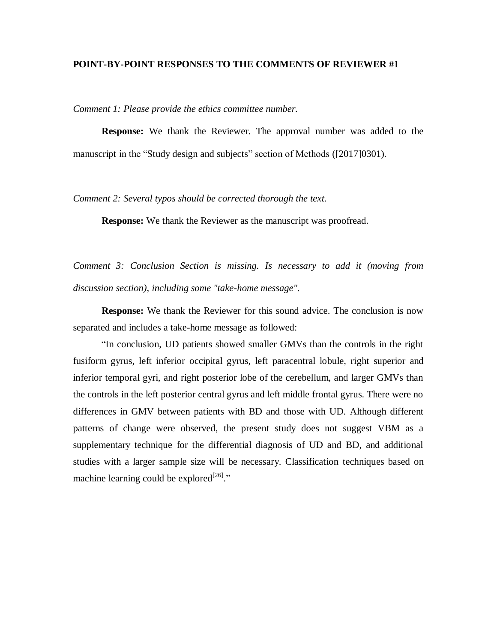## **POINT-BY-POINT RESPONSES TO THE COMMENTS OF REVIEWER #1**

*Comment 1: Please provide the ethics committee number.* 

**Response:** We thank the Reviewer. The approval number was added to the manuscript in the "Study design and subjects" section of Methods ([2017]0301).

*Comment 2: Several typos should be corrected thorough the text.*

**Response:** We thank the Reviewer as the manuscript was proofread.

*Comment 3: Conclusion Section is missing. Is necessary to add it (moving from discussion section), including some "take-home message".*

**Response:** We thank the Reviewer for this sound advice. The conclusion is now separated and includes a take-home message as followed:

"In conclusion, UD patients showed smaller GMVs than the controls in the right fusiform gyrus, left inferior occipital gyrus, left paracentral lobule, right superior and inferior temporal gyri, and right posterior lobe of the cerebellum, and larger GMVs than the controls in the left posterior central gyrus and left middle frontal gyrus. There were no differences in GMV between patients with BD and those with UD. Although different patterns of change were observed, the present study does not suggest VBM as a supplementary technique for the differential diagnosis of UD and BD, and additional studies with a larger sample size will be necessary. Classification techniques based on machine learning could be explored  $[26]$ ."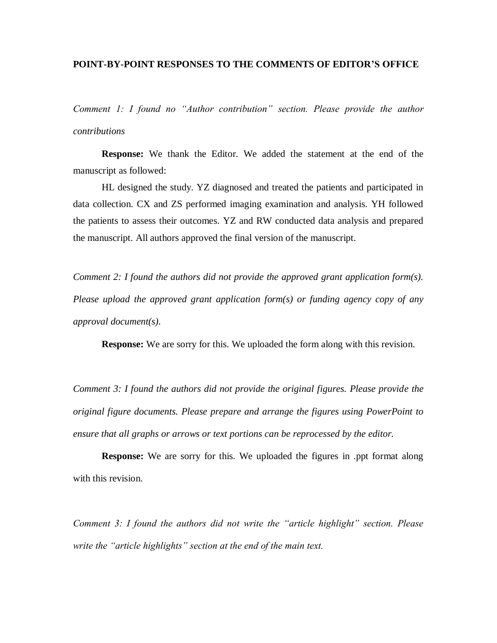## **POINT-BY-POINT RESPONSES TO THE COMMENTS OF EDITOR'S OFFICE**

*Comment 1: I found no "Author contribution" section. Please provide the author contributions*

**Response:** We thank the Editor. We added the statement at the end of the manuscript as followed:

HL designed the study. YZ diagnosed and treated the patients and participated in data collection. CX and ZS performed imaging examination and analysis. YH followed the patients to assess their outcomes. YZ and RW conducted data analysis and prepared the manuscript. All authors approved the final version of the manuscript.

*Comment 2: I found the authors did not provide the approved grant application form(s). Please upload the approved grant application form(s) or funding agency copy of any approval document(s).*

**Response:** We are sorry for this. We uploaded the form along with this revision.

*Comment 3: I found the authors did not provide the original figures. Please provide the original figure documents. Please prepare and arrange the figures using PowerPoint to ensure that all graphs or arrows or text portions can be reprocessed by the editor.*

**Response:** We are sorry for this. We uploaded the figures in .ppt format along with this revision.

*Comment 3: I found the authors did not write the "article highlight" section. Please write the "article highlights" section at the end of the main text.*